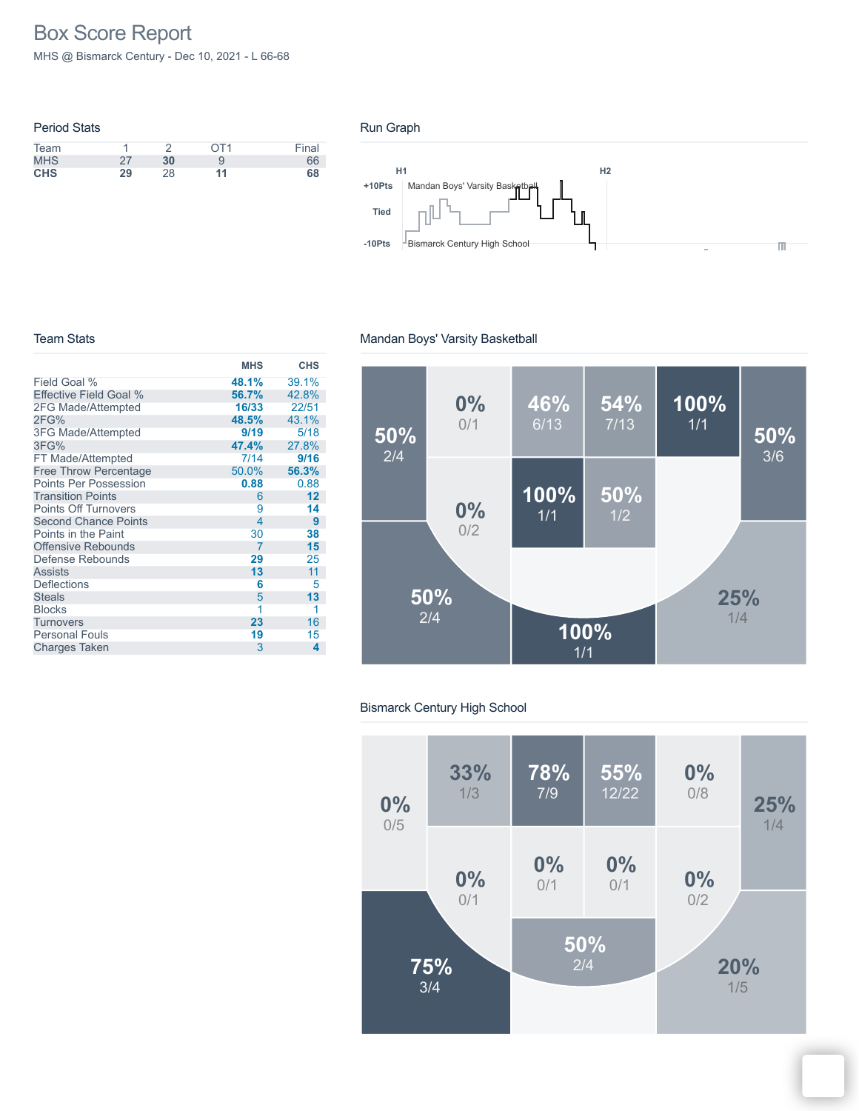# Box Score Report

MHS @ Bismarck Century - Dec 10, 2021 - L 66-68

|    |    | OT1 | Final |
|----|----|-----|-------|
| 27 | 30 |     | 66    |
| 29 | 28 | 11  | 68    |
|    |    |     |       |

#### Run Graph



#### Team Stats

## Mandan Boys' Varsity Basketball

|                              | <b>MHS</b> | <b>CHS</b> |
|------------------------------|------------|------------|
| Field Goal %                 | 48.1%      | 39.1%      |
| Effective Field Goal %       | 56.7%      | 42.8%      |
| 2FG Made/Attempted           | 16/33      | 22/51      |
| 2FG%                         | 48.5%      | 43.1%      |
| 3FG Made/Attempted           | 9/19       | 5/18       |
| 3FG%                         | 47.4%      | 27.8%      |
| FT Made/Attempted            | 7/14       | 9/16       |
| <b>Free Throw Percentage</b> | 50.0%      | 56.3%      |
| <b>Points Per Possession</b> | 0.88       | 0.88       |
| <b>Transition Points</b>     | 6          | 12         |
| <b>Points Off Turnovers</b>  | 9          | 14         |
| <b>Second Chance Points</b>  | 4          | 9          |
| Points in the Paint          | 30         | 38         |
| <b>Offensive Rebounds</b>    | 7          | 15         |
| Defense Rebounds             | 29         | 25         |
| Assists                      | 13         | 11         |
| <b>Deflections</b>           | 6          | 5          |
| <b>Steals</b>                | 5          | 13         |
| <b>Blocks</b>                | 1          | 1          |
| Turnovers                    | 23         | 16         |
| <b>Personal Fouls</b>        | 19         | 15         |
| <b>Charges Taken</b>         | 3          | 4          |
|                              |            |            |



## Bismarck Century High School